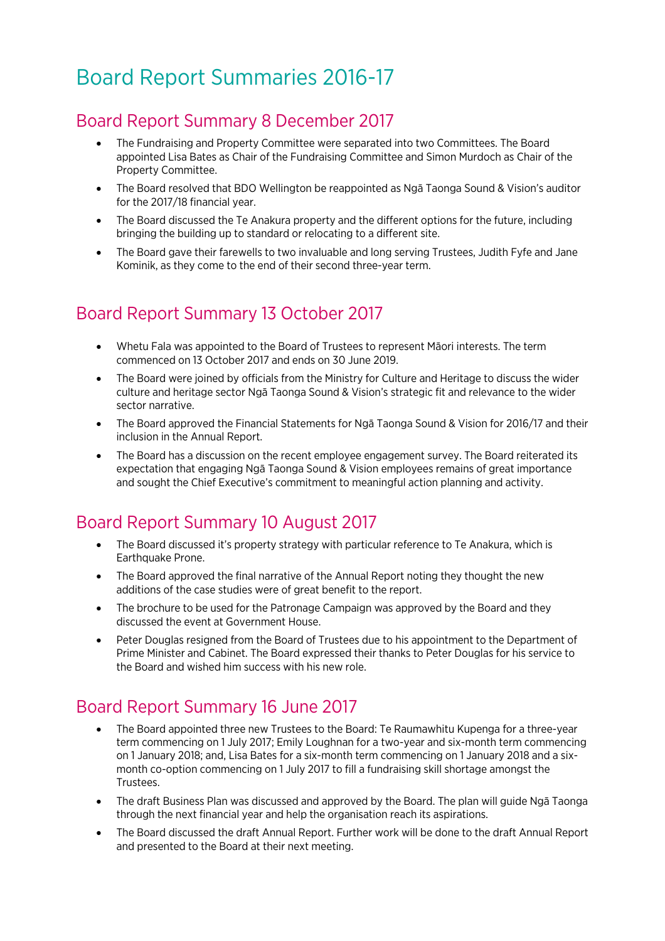# Board Report Summaries 2016-17

### Board Report Summary 8 December 2017

- The Fundraising and Property Committee were separated into two Committees. The Board appointed Lisa Bates as Chair of the Fundraising Committee and Simon Murdoch as Chair of the Property Committee.
- The Board resolved that BDO Wellington be reappointed as Ngā Taonga Sound & Vision's auditor for the 2017/18 financial year.
- The Board discussed the Te Anakura property and the different options for the future, including bringing the building up to standard or relocating to a different site.
- The Board gave their farewells to two invaluable and long serving Trustees, Judith Fyfe and Jane Kominik, as they come to the end of their second three-year term.

## Board Report Summary 13 October 2017

- Whetu Fala was appointed to the Board of Trustees to represent Māori interests. The term commenced on 13 October 2017 and ends on 30 June 2019.
- The Board were joined by officials from the Ministry for Culture and Heritage to discuss the wider culture and heritage sector Ngā Taonga Sound & Vision's strategic fit and relevance to the wider sector narrative.
- The Board approved the Financial Statements for Ngā Taonga Sound & Vision for 2016/17 and their inclusion in the Annual Report.
- The Board has a discussion on the recent employee engagement survey. The Board reiterated its expectation that engaging Ngā Taonga Sound & Vision employees remains of great importance and sought the Chief Executive's commitment to meaningful action planning and activity.

## Board Report Summary 10 August 2017

- The Board discussed it's property strategy with particular reference to Te Anakura, which is Earthquake Prone.
- The Board approved the final narrative of the Annual Report noting they thought the new additions of the case studies were of great benefit to the report.
- The brochure to be used for the Patronage Campaign was approved by the Board and they discussed the event at Government House.
- Peter Douglas resigned from the Board of Trustees due to his appointment to the Department of Prime Minister and Cabinet. The Board expressed their thanks to Peter Douglas for his service to the Board and wished him success with his new role.

## Board Report Summary 16 June 2017

- The Board appointed three new Trustees to the Board: Te Raumawhitu Kupenga for a three-year term commencing on 1 July 2017; Emily Loughnan for a two-year and six-month term commencing on 1 January 2018; and, Lisa Bates for a six-month term commencing on 1 January 2018 and a sixmonth co-option commencing on 1 July 2017 to fill a fundraising skill shortage amongst the Trustees.
- The draft Business Plan was discussed and approved by the Board. The plan will guide Ngā Taonga through the next financial year and help the organisation reach its aspirations.
- The Board discussed the draft Annual Report. Further work will be done to the draft Annual Report and presented to the Board at their next meeting.